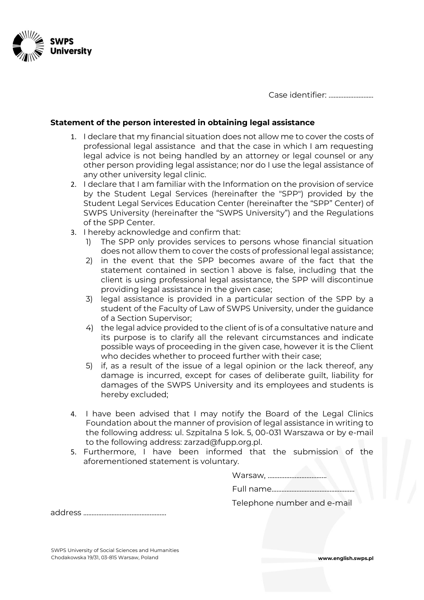

Case identifier: ...........................

## **Statement of the person interested in obtaining legal assistance**

- 1. I declare that my financial situation does not allow me to cover the costs of professional legal assistance and that the case in which I am requesting legal advice is not being handled by an attorney or legal counsel or any other person providing legal assistance; nor do I use the legal assistance of any other university legal clinic.
- 2. I declare that I am familiar with the Information on the provision of service by the Student Legal Services (hereinafter the "SPP") provided by the Student Legal Services Education Center (hereinafter the "SPP" Center) of SWPS University (hereinafter the "SWPS University") and the Regulations of the SPP Center.
- 3. I hereby acknowledge and confirm that:
	- 1) The SPP only provides services to persons whose financial situation does not allow them to cover the costs of professional legal assistance;
	- 2) in the event that the SPP becomes aware of the fact that the statement contained in section 1 above is false, including that the client is using professional legal assistance, the SPP will discontinue providing legal assistance in the given case;
	- 3) legal assistance is provided in a particular section of the SPP by a student of the Faculty of Law of SWPS University, under the guidance of a Section Supervisor;
	- 4) the legal advice provided to the client of is of a consultative nature and its purpose is to clarify all the relevant circumstances and indicate possible ways of proceeding in the given case, however it is the Client who decides whether to proceed further with their case;
	- 5) if, as a result of the issue of a legal opinion or the lack thereof, any damage is incurred, except for cases of deliberate guilt, liability for damages of the SWPS University and its employees and students is hereby excluded;
- 4. I have been advised that I may notify the Board of the Legal Clinics Foundation about the manner of provision of legal assistance in writing to the following address: ul. Szpitalna 5 lok. 5, 00-031 Warszawa or by e-mail to the following address: zarzad@fupp.org.pl.
- 5. Furthermore, I have been informed that the submission of the aforementioned statement is voluntary.

|--|--|

Full name..................................................

Telephone number and e-mail

address ..................................................

SWPS University of Social Sciences and Humanities Chodakowska 19/31, 03-815 Warsaw, Poland **www.english.swps.pl**